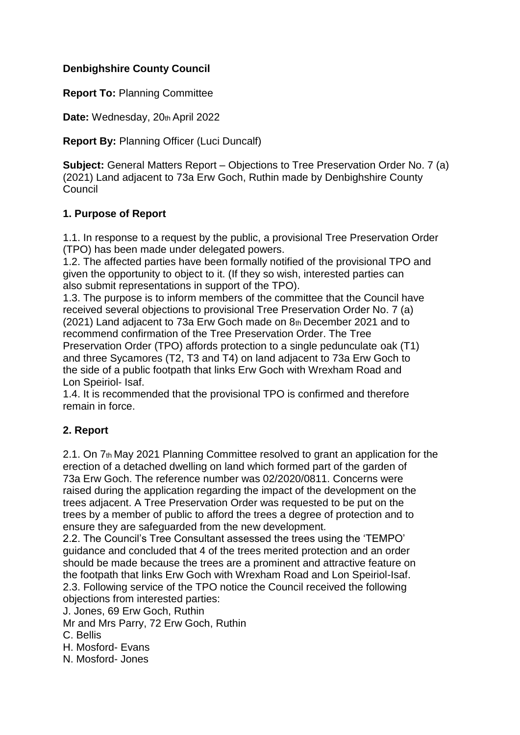### **Denbighshire County Council**

**Report To:** Planning Committee

Date: Wednesday, 20th April 2022

**Report By:** Planning Officer (Luci Duncalf)

**Subject:** General Matters Report – Objections to Tree Preservation Order No. 7 (a) (2021) Land adjacent to 73a Erw Goch, Ruthin made by Denbighshire County Council

### **1. Purpose of Report**

1.1. In response to a request by the public, a provisional Tree Preservation Order (TPO) has been made under delegated powers.

1.2. The affected parties have been formally notified of the provisional TPO and given the opportunity to object to it. (If they so wish, interested parties can also submit representations in support of the TPO).

1.3. The purpose is to inform members of the committee that the Council have received several objections to provisional Tree Preservation Order No. 7 (a) (2021) Land adjacent to 73a Erw Goch made on 8th December 2021 and to recommend confirmation of the Tree Preservation Order. The Tree Preservation Order (TPO) affords protection to a single pedunculate oak (T1) and three Sycamores (T2, T3 and T4) on land adjacent to 73a Erw Goch to the side of a public footpath that links Erw Goch with Wrexham Road and Lon Speiriol- Isaf.

1.4. It is recommended that the provisional TPO is confirmed and therefore remain in force.

## **2. Report**

2.1. On 7th May 2021 Planning Committee resolved to grant an application for the erection of a detached dwelling on land which formed part of the garden of 73a Erw Goch. The reference number was 02/2020/0811. Concerns were raised during the application regarding the impact of the development on the trees adjacent. A Tree Preservation Order was requested to be put on the trees by a member of public to afford the trees a degree of protection and to ensure they are safeguarded from the new development.

2.2. The Council's Tree Consultant assessed the trees using the 'TEMPO' guidance and concluded that 4 of the trees merited protection and an order should be made because the trees are a prominent and attractive feature on the footpath that links Erw Goch with Wrexham Road and Lon Speiriol-Isaf. 2.3. Following service of the TPO notice the Council received the following objections from interested parties:

J. Jones, 69 Erw Goch, Ruthin

Mr and Mrs Parry, 72 Erw Goch, Ruthin

C. Bellis

H. Mosford- Evans

N. Mosford- Jones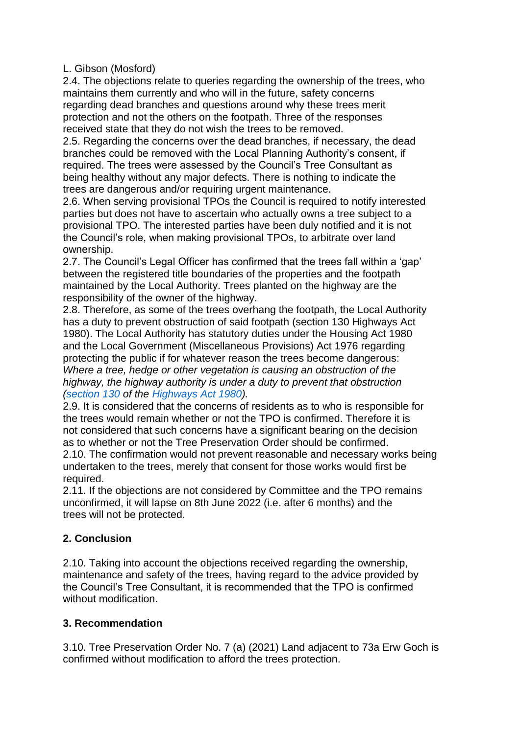#### L. Gibson (Mosford)

2.4. The objections relate to queries regarding the ownership of the trees, who maintains them currently and who will in the future, safety concerns regarding dead branches and questions around why these trees merit protection and not the others on the footpath. Three of the responses received state that they do not wish the trees to be removed.

2.5. Regarding the concerns over the dead branches, if necessary, the dead branches could be removed with the Local Planning Authority's consent, if required. The trees were assessed by the Council's Tree Consultant as being healthy without any major defects. There is nothing to indicate the trees are dangerous and/or requiring urgent maintenance.

2.6. When serving provisional TPOs the Council is required to notify interested parties but does not have to ascertain who actually owns a tree subject to a provisional TPO. The interested parties have been duly notified and it is not the Council's role, when making provisional TPOs, to arbitrate over land ownership.

2.7. The Council's Legal Officer has confirmed that the trees fall within a 'gap' between the registered title boundaries of the properties and the footpath maintained by the Local Authority. Trees planted on the highway are the responsibility of the owner of the highway.

2.8. Therefore, as some of the trees overhang the footpath, the Local Authority has a duty to prevent obstruction of said footpath (section 130 Highways Act 1980). The Local Authority has statutory duties under the Housing Act 1980 and the Local Government (Miscellaneous Provisions) Act 1976 regarding protecting the public if for whatever reason the trees become dangerous: *Where a tree, hedge or other vegetation is causing an obstruction of the highway, the highway authority is under a duty to prevent that obstruction (section 130 of the Highways Act 1980).*

2.9. It is considered that the concerns of residents as to who is responsible for the trees would remain whether or not the TPO is confirmed. Therefore it is not considered that such concerns have a significant bearing on the decision as to whether or not the Tree Preservation Order should be confirmed. 2.10. The confirmation would not prevent reasonable and necessary works being undertaken to the trees, merely that consent for those works would first be required.

2.11. If the objections are not considered by Committee and the TPO remains unconfirmed, it will lapse on 8th June 2022 (i.e. after 6 months) and the trees will not be protected.

# **2. Conclusion**

2.10. Taking into account the objections received regarding the ownership, maintenance and safety of the trees, having regard to the advice provided by the Council's Tree Consultant, it is recommended that the TPO is confirmed without modification.

## **3. Recommendation**

3.10. Tree Preservation Order No. 7 (a) (2021) Land adjacent to 73a Erw Goch is confirmed without modification to afford the trees protection.